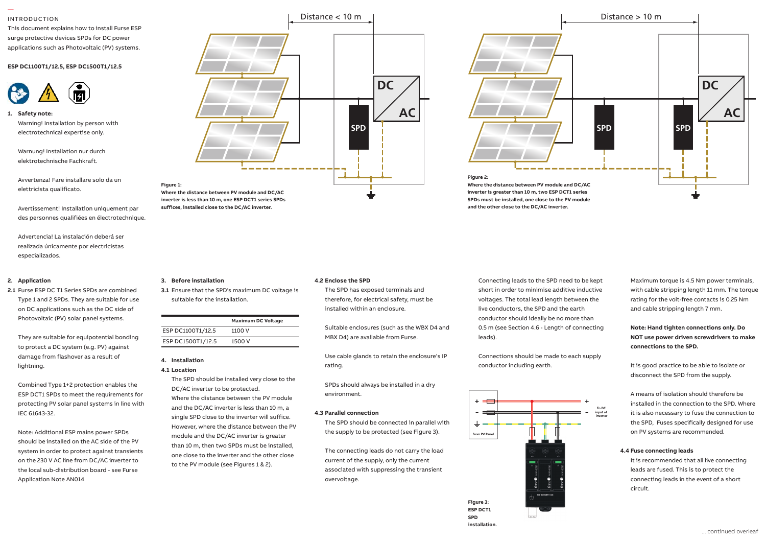### INTRODUCTION

—

This document explains how to install Furse ESP surge protective devices SPDs for DC power surge protective devices SPDs for DC power<br>applications such as Photovoltaic (PV) systems. applications such as Photovoltaic (PV

### **ESP DC1100T1/12.5, ESP DC1500T1/12.5**



## **1. Safety note:** Safety note: Warning! Installation by person with electrotechnical expertise only.

Warnung! Installation nur durch elektrotechnische Fachkraft.

Avvertenza! Fare installare solo da un elettricista qualificato.

ست به بسب<br>**Avertissement! Installation uniquement par** suffic des personnes qualifiées en électrotechnique.

Advertencia! La instalación deberá ser realizada únicamente por electricistas especializados.

### distribution panel or directly alongside it. **2. Application**

on DC applications such as the DC side of 2.1 Furse ESP DC T1 Series SPDs are combined 3.1 Er Type 1 and 2 SPDs. They are suitable for use **that** Photovoltaic (PV) solar panel systems.

2.9Nm, wire stripping length 17mm. **3. Before installation**

suitable for the installation.

ESP DC1100T1/12.5 1100 V ESP DC1500T1/12.5 1500 V

**4. Installation 4.1 Location**

**Maximum DC Voltage**

The SPD should be installed very close to the

Where the distance between the PV module and the DC/AC inverter is less than 10 m, a single SPD close to the inverter will suffice. However, where the distance between the PV module and the DC/AC inverter is greater than 10 m, then two SPDs must be installed, one close to the inverter and the other close to the PV module (see Figures 1 & 2).

DC/AC inverter to be protected.

They are suitable for equipotential bonding to protect a DC system (e.g. PV) against damage from flashover as a result of lightning.

Combined Type 1+2 protection enables the ESP DCT1 SPDs to meet the requirements for protecting PV solar panel systems in line with IEC 61643-32.

Note: Additional ESP mains power SPDs should be installed on the AC side of the PV system in order to protect against transients on the 230 V AC line from DC/AC inverter to the local sub-distribution board - see Furse Application Note AN014





The SPD has exposed terminals and therefore, for electrical safety, must be installed within an enclosure. **3.1** Ensure that the SPD's maximum DC voltage is

> Suitable enclosures (such as the WBX D4 and MBX D4) are available from Furse.

Use cable glands to retain the enclosure's IP rating.

SPDs should always be installed in a dry environment.

### **4.3 Parallel connection**

The SPD should be connected in parallel with the supply to be protected (see Figure 3).

The connecting leads do not carry the load current of the supply, only the current associated with suppressing the transient overvoltage.



**and the other close to the DC/AC inverter.**

Connections should be made to each supply conductor including earth.



**SPD SPD DC AC SPD SPD** Distance > 10 m **Figure 2: Where the distance between PV module and DC/AC inverter is greater than 10 m, two ESP DCT1 series SPDs must be installed, one close to the PV module** 

> Maximum torque is 4.5 Nm power terminals, with cable stripping length 11 mm. The torque rating for the volt-free contacts is 0.25 Nm and cable stripping length 7 mm.

**Note: Hand tighten connections only. Do NOT use power driven screwdrivers to make connections to the SPD.**

It is good practice to be able to isolate or disconnect the SPD from the supply.

A means of isolation should therefore be installed in the connection to the SPD. Where it is also necessary to fuse the connection to the SPD, Fuses specifically designed for use on PV systems are recommended.

### **4.4 Fuse connecting leads**

It is recommended that all live connecting leads are fused. This is to protect the connecting leads in the event of a short circuit.